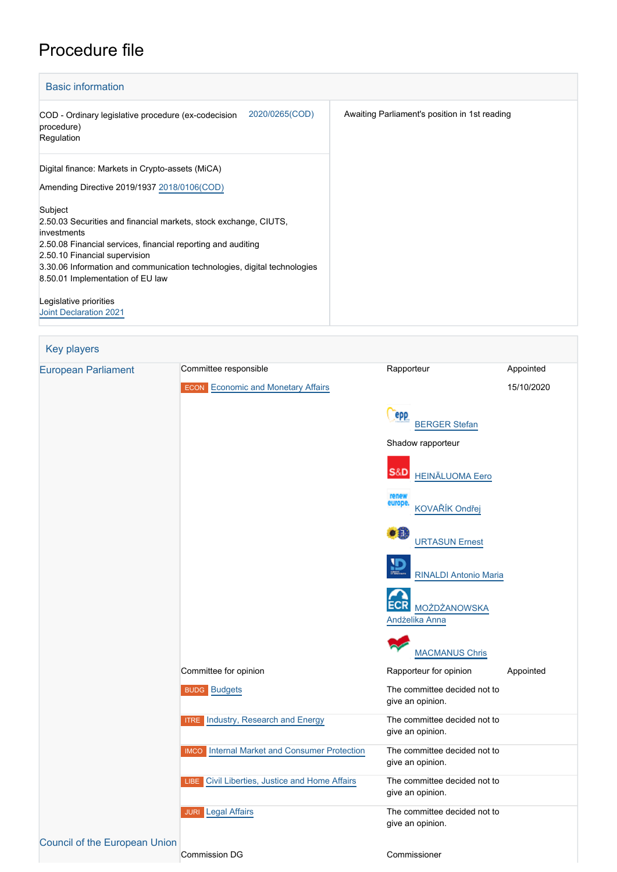# Procedure file

| <b>Basic information</b>                      |  |  |  |  |
|-----------------------------------------------|--|--|--|--|
| Awaiting Parliament's position in 1st reading |  |  |  |  |
|                                               |  |  |  |  |
|                                               |  |  |  |  |
|                                               |  |  |  |  |
|                                               |  |  |  |  |
|                                               |  |  |  |  |
|                                               |  |  |  |  |
|                                               |  |  |  |  |
|                                               |  |  |  |  |
|                                               |  |  |  |  |
|                                               |  |  |  |  |
|                                               |  |  |  |  |
|                                               |  |  |  |  |

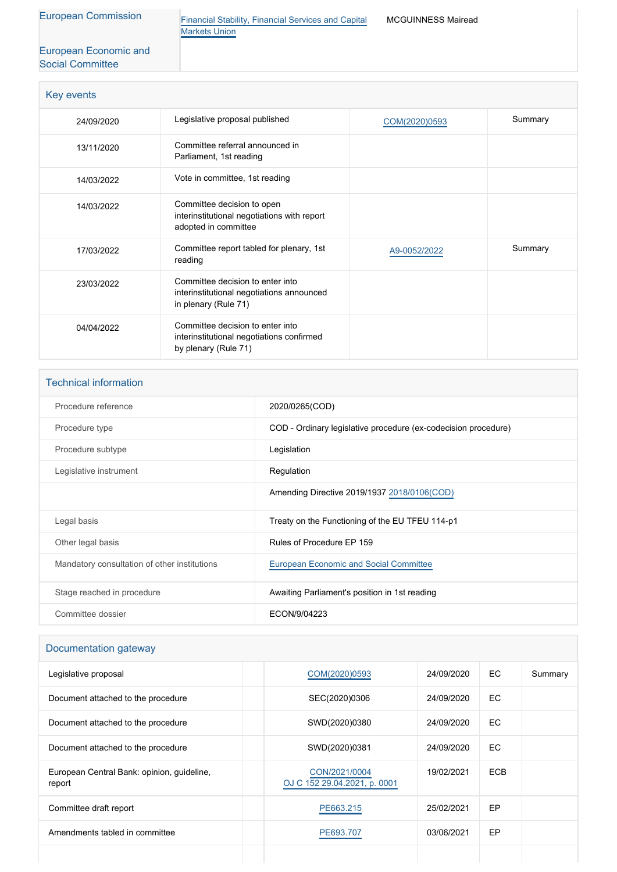[European Economic and](http://www.eesc.europa.eu/) [Social Committee](http://www.eesc.europa.eu/)

[European Commission](http://ec.europa.eu/) [Financial Stability, Financial Services and Capital](http://ec.europa.eu/info/departments/financial-stability-financial-services-and-capital-markets-union_en) [Markets Union](http://ec.europa.eu/info/departments/financial-stability-financial-services-and-capital-markets-union_en)

MCGUINNESS Mairead

| Key events |                                                                                                       |               |         |
|------------|-------------------------------------------------------------------------------------------------------|---------------|---------|
| 24/09/2020 | Legislative proposal published                                                                        | COM(2020)0593 | Summary |
| 13/11/2020 | Committee referral announced in<br>Parliament, 1st reading                                            |               |         |
| 14/03/2022 | Vote in committee, 1st reading                                                                        |               |         |
| 14/03/2022 | Committee decision to open<br>interinstitutional negotiations with report<br>adopted in committee     |               |         |
| 17/03/2022 | Committee report tabled for plenary, 1st<br>reading                                                   | A9-0052/2022  | Summary |
| 23/03/2022 | Committee decision to enter into<br>interinstitutional negotiations announced<br>in plenary (Rule 71) |               |         |
| 04/04/2022 | Committee decision to enter into<br>interinstitutional negotiations confirmed<br>by plenary (Rule 71) |               |         |

| <b>Technical information</b>                 |                                                                |
|----------------------------------------------|----------------------------------------------------------------|
| Procedure reference                          | 2020/0265(COD)                                                 |
| Procedure type                               | COD - Ordinary legislative procedure (ex-codecision procedure) |
| Procedure subtype                            | Legislation                                                    |
| Legislative instrument                       | Regulation                                                     |
|                                              | Amending Directive 2019/1937 2018/0106(COD)                    |
| Legal basis                                  | Treaty on the Functioning of the EU TFEU 114-p1                |
| Other legal basis                            | Rules of Procedure EP 159                                      |
| Mandatory consultation of other institutions | <b>European Economic and Social Committee</b>                  |
| Stage reached in procedure                   | Awaiting Parliament's position in 1st reading                  |
| Committee dossier                            | ECON/9/04223                                                   |

## Documentation gateway

| Legislative proposal                                 | COM(2020)0593                                 | 24/09/2020 | EC.        | Summary |
|------------------------------------------------------|-----------------------------------------------|------------|------------|---------|
| Document attached to the procedure                   | SEC(2020)0306                                 | 24/09/2020 | EC.        |         |
| Document attached to the procedure                   | SWD(2020)0380                                 | 24/09/2020 | EC.        |         |
| Document attached to the procedure                   | SWD(2020)0381                                 | 24/09/2020 | EC.        |         |
| European Central Bank: opinion, guideline,<br>report | CON/2021/0004<br>OJ C 152 29.04.2021, p. 0001 | 19/02/2021 | <b>ECB</b> |         |
| Committee draft report                               | PE663.215                                     | 25/02/2021 | EP         |         |
| Amendments tabled in committee                       | PE693.707                                     | 03/06/2021 | EP         |         |
|                                                      |                                               |            |            |         |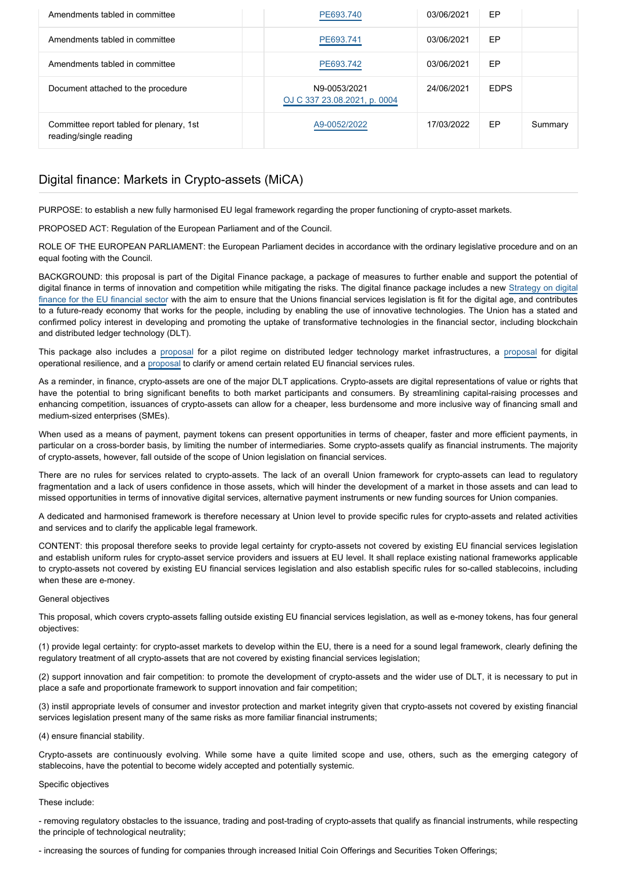| Amendments tabled in committee                                     | PE693.740                                    | 03/06/2021 | EP          |         |
|--------------------------------------------------------------------|----------------------------------------------|------------|-------------|---------|
| Amendments tabled in committee                                     | PE693.741                                    | 03/06/2021 | EP          |         |
| Amendments tabled in committee                                     | PE693.742                                    | 03/06/2021 | EP          |         |
| Document attached to the procedure                                 | N9-0053/2021<br>OJ C 337 23.08.2021, p. 0004 | 24/06/2021 | <b>EDPS</b> |         |
| Committee report tabled for plenary, 1st<br>reading/single reading | A9-0052/2022                                 | 17/03/2022 | EP          | Summary |

# Digital finance: Markets in Crypto-assets (MiCA)

PURPOSE: to establish a new fully harmonised EU legal framework regarding the proper functioning of crypto-asset markets.

PROPOSED ACT: Regulation of the European Parliament and of the Council.

ROLE OF THE EUROPEAN PARLIAMENT: the European Parliament decides in accordance with the ordinary legislative procedure and on an equal footing with the Council.

BACKGROUND: this proposal is part of the Digital Finance package, a package of measures to further enable and support the potential of digital finance in terms of innovation and competition while mitigating the risks. The digital finance package includes a new [Strategy on digital](https://eur-lex.europa.eu/legal-content/EN/TXT/PDF/?uri=CELEX:52020DC0591&from=EN) [finance for the EU financial sector](https://eur-lex.europa.eu/legal-content/EN/TXT/PDF/?uri=CELEX:52020DC0591&from=EN) with the aim to ensure that the Unions financial services legislation is fit for the digital age, and contributes to a future-ready economy that works for the people, including by enabling the use of innovative technologies. The Union has a stated and confirmed policy interest in developing and promoting the uptake of transformative technologies in the financial sector, including blockchain and distributed ledger technology (DLT).

This package also includes a [proposal](https://oeil.secure.europarl.europa.eu/oeil/popups/ficheprocedure.do?reference=2020/0267(COD)&l=en) for a pilot regime on distributed ledger technology market infrastructures, a [proposal](https://oeil.secure.europarl.europa.eu/oeil/popups/ficheprocedure.do?reference=2020/0266(COD)&l=en) for digital operational resilience, and a [proposal](https://oeil.secure.europarl.europa.eu/oeil/popups/ficheprocedure.do?reference=2020/0268(COD)&l=en) to clarify or amend certain related EU financial services rules.

As a reminder, in finance, crypto-assets are one of the major DLT applications. Crypto-assets are digital representations of value or rights that have the potential to bring significant benefits to both market participants and consumers. By streamlining capital-raising processes and enhancing competition, issuances of crypto-assets can allow for a cheaper, less burdensome and more inclusive way of financing small and medium-sized enterprises (SMEs).

When used as a means of payment, payment tokens can present opportunities in terms of cheaper, faster and more efficient payments, in particular on a cross-border basis, by limiting the number of intermediaries. Some crypto-assets qualify as financial instruments. The majority of crypto-assets, however, fall outside of the scope of Union legislation on financial services.

There are no rules for services related to crypto-assets. The lack of an overall Union framework for crypto-assets can lead to regulatory fragmentation and a lack of users confidence in those assets, which will hinder the development of a market in those assets and can lead to missed opportunities in terms of innovative digital services, alternative payment instruments or new funding sources for Union companies.

A dedicated and harmonised framework is therefore necessary at Union level to provide specific rules for crypto-assets and related activities and services and to clarify the applicable legal framework.

CONTENT: this proposal therefore seeks to provide legal certainty for crypto-assets not covered by existing EU financial services legislation and establish uniform rules for crypto-asset service providers and issuers at EU level. It shall replace existing national frameworks applicable to crypto-assets not covered by existing EU financial services legislation and also establish specific rules for so-called stablecoins, including when these are e-money.

### General objectives

This proposal, which covers crypto-assets falling outside existing EU financial services legislation, as well as e-money tokens, has four general objectives:

(1) provide legal certainty: for crypto-asset markets to develop within the EU, there is a need for a sound legal framework, clearly defining the regulatory treatment of all crypto-assets that are not covered by existing financial services legislation;

(2) support innovation and fair competition: to promote the development of crypto-assets and the wider use of DLT, it is necessary to put in place a safe and proportionate framework to support innovation and fair competition;

(3) instil appropriate levels of consumer and investor protection and market integrity given that crypto-assets not covered by existing financial services legislation present many of the same risks as more familiar financial instruments;

(4) ensure financial stability.

Crypto-assets are continuously evolving. While some have a quite limited scope and use, others, such as the emerging category of stablecoins, have the potential to become widely accepted and potentially systemic.

### Specific objectives

These include:

- removing regulatory obstacles to the issuance, trading and post-trading of crypto-assets that qualify as financial instruments, while respecting the principle of technological neutrality;

- increasing the sources of funding for companies through increased Initial Coin Offerings and Securities Token Offerings;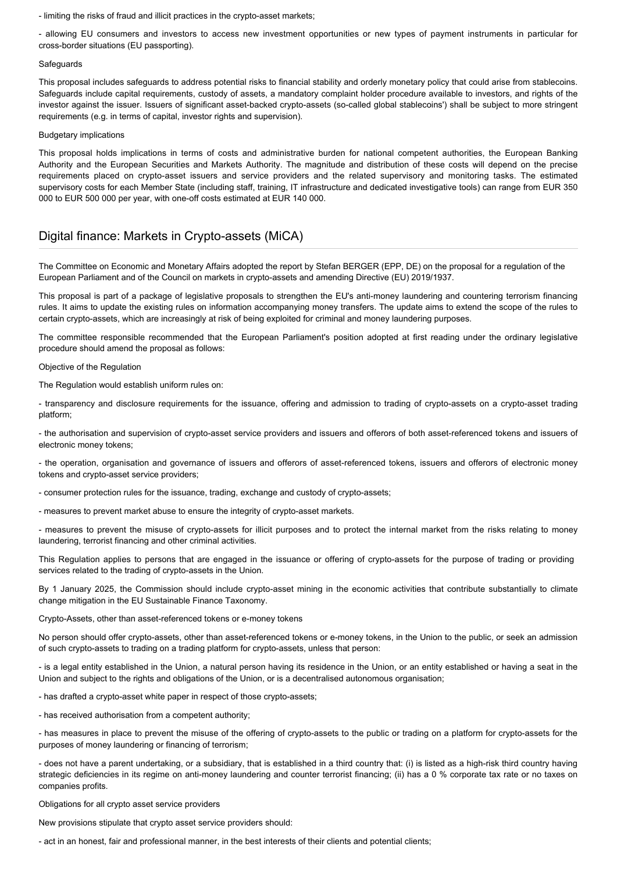- limiting the risks of fraud and illicit practices in the crypto-asset markets;

- allowing EU consumers and investors to access new investment opportunities or new types of payment instruments in particular for cross-border situations (EU passporting).

#### Safeguards

This proposal includes safeguards to address potential risks to financial stability and orderly monetary policy that could arise from stablecoins. Safeguards include capital requirements, custody of assets, a mandatory complaint holder procedure available to investors, and rights of the investor against the issuer. Issuers of significant asset-backed crypto-assets (so-called global stablecoins') shall be subject to more stringent requirements (e.g. in terms of capital, investor rights and supervision).

#### Budgetary implications

This proposal holds implications in terms of costs and administrative burden for national competent authorities, the European Banking Authority and the European Securities and Markets Authority. The magnitude and distribution of these costs will depend on the precise requirements placed on crypto-asset issuers and service providers and the related supervisory and monitoring tasks. The estimated supervisory costs for each Member State (including staff, training, IT infrastructure and dedicated investigative tools) can range from EUR 350 000 to EUR 500 000 per year, with one-off costs estimated at EUR 140 000.

# Digital finance: Markets in Crypto-assets (MiCA)

The Committee on Economic and Monetary Affairs adopted the report by Stefan BERGER (EPP, DE) on the proposal for a regulation of the European Parliament and of the Council on markets in crypto-assets and amending Directive (EU) 2019/1937.

This proposal is part of a package of legislative proposals to strengthen the EU's anti-money laundering and countering terrorism financing rules. It aims to update the existing rules on information accompanying money transfers. The update aims to extend the scope of the rules to certain crypto-assets, which are increasingly at risk of being exploited for criminal and money laundering purposes.

The committee responsible recommended that the European Parliament's position adopted at first reading under the ordinary legislative procedure should amend the proposal as follows:

Objective of the Regulation

The Regulation would establish uniform rules on:

- transparency and disclosure requirements for the issuance, offering and admission to trading of crypto-assets on a crypto-asset trading platform;

- the authorisation and supervision of crypto-asset service providers and issuers and offerors of both asset-referenced tokens and issuers of electronic money tokens;

- the operation, organisation and governance of issuers and offerors of asset-referenced tokens, issuers and offerors of electronic money tokens and crypto-asset service providers;

- consumer protection rules for the issuance, trading, exchange and custody of crypto-assets;

- measures to prevent market abuse to ensure the integrity of crypto-asset markets.

- measures to prevent the misuse of crypto-assets for illicit purposes and to protect the internal market from the risks relating to money laundering, terrorist financing and other criminal activities.

This Regulation applies to persons that are engaged in the issuance or offering of crypto-assets for the purpose of trading or providing services related to the trading of crypto-assets in the Union.

By 1 January 2025, the Commission should include crypto-asset mining in the economic activities that contribute substantially to climate change mitigation in the EU Sustainable Finance Taxonomy.

Crypto-Assets, other than asset-referenced tokens or e-money tokens

No person should offer crypto-assets, other than asset-referenced tokens or e-money tokens, in the Union to the public, or seek an admission of such crypto-assets to trading on a trading platform for crypto-assets, unless that person:

- is a legal entity established in the Union, a natural person having its residence in the Union, or an entity established or having a seat in the Union and subject to the rights and obligations of the Union, or is a decentralised autonomous organisation;

- has drafted a crypto-asset white paper in respect of those crypto-assets;

- has received authorisation from a competent authority;

- has measures in place to prevent the misuse of the offering of crypto-assets to the public or trading on a platform for crypto-assets for the purposes of money laundering or financing of terrorism;

- does not have a parent undertaking, or a subsidiary, that is established in a third country that: (i) is listed as a high-risk third country having strategic deficiencies in its regime on anti-money laundering and counter terrorist financing; (ii) has a 0 % corporate tax rate or no taxes on companies profits.

Obligations for all crypto asset service providers

New provisions stipulate that crypto asset service providers should:

- act in an honest, fair and professional manner, in the best interests of their clients and potential clients;